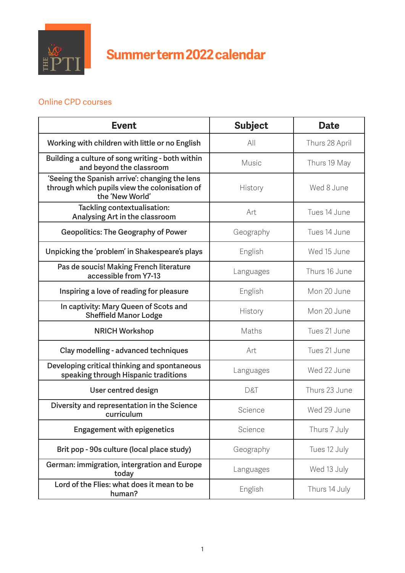

## **Summer term 2022 calendar**

## Online CPD courses

| <b>Event</b>                                                                                                       | <b>Subject</b> | <b>Date</b>    |
|--------------------------------------------------------------------------------------------------------------------|----------------|----------------|
| Working with children with little or no English                                                                    | All            | Thurs 28 April |
| Building a culture of song writing - both within<br>and beyond the classroom                                       | Music          | Thurs 19 May   |
| 'Seeing the Spanish arrive': changing the lens<br>through which pupils view the colonisation of<br>the 'New World' | History        | Wed 8 June     |
| Tackling contextualisation:<br>Analysing Art in the classroom                                                      | Art            | Tues 14 June   |
| <b>Geopolitics: The Geography of Power</b>                                                                         | Geography      | Tues 14 June   |
| Unpicking the 'problem' in Shakespeare's plays                                                                     | English        | Wed 15 June    |
| Pas de soucis! Making French literature<br>accessible from Y7-13                                                   | Languages      | Thurs 16 June  |
| Inspiring a love of reading for pleasure                                                                           | English        | Mon 20 June    |
| In captivity: Mary Queen of Scots and<br><b>Sheffield Manor Lodge</b>                                              | History        | Mon 20 June    |
| <b>NRICH Workshop</b>                                                                                              | Maths          | Tues 21 June   |
| Clay modelling - advanced techniques                                                                               | Art            | Tues 21 June   |
| Developing critical thinking and spontaneous<br>speaking through Hispanic traditions                               | Languages      | Wed 22 June    |
| User centred design                                                                                                | D&T            | Thurs 23 June  |
| Diversity and representation in the Science<br>curriculum                                                          | Science        | Wed 29 June    |
| <b>Engagement with epigenetics</b>                                                                                 | Science        | Thurs 7 July   |
| Brit pop - 90s culture (local place study)                                                                         | Geography      | Tues 12 July   |
| German: immigration, intergration and Europe<br>today                                                              | Languages      | Wed 13 July    |
| Lord of the Flies: what does it mean to be<br>human?                                                               | English        | Thurs 14 July  |